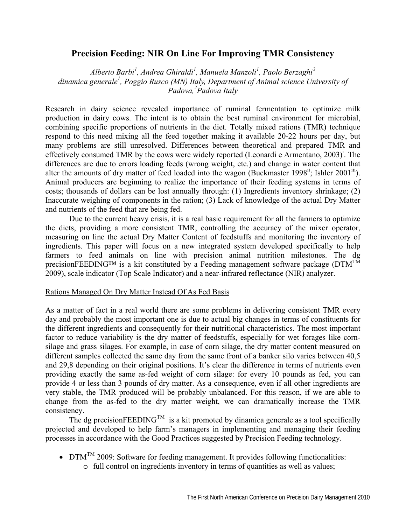## **Precision Feeding: NIR On Line For Improving TMR Consistency**

*Alberto Barbi<sup>1</sup> , Andrea Ghiraldi<sup>1</sup> , Manuela Manzoli<sup>1</sup> , Paolo Berzaghi<sup>2</sup>* dinamica generale<sup>1</sup>, Poggio Rusco (MN) Italy, Department of Animal science University of *Padova,2 Padova Italy* 

Research in dairy science revealed importance of ruminal fermentation to optimize milk production in dairy cows. The intent is to obtain the best ruminal environment for microbial, combining specific proportions of nutrients in the diet. Totally mixed rations (TMR) technique respond to this need mixing all the feed together making it available 20-22 hours per day, but many problems are still unresolved. Differences between theoretical and prepared TMR and effectively consumed TMR by the cows were widely reported (Leonardi e Armentano, 2003)<sup>i</sup>. The differences are due to errors loading feeds (wrong weight, etc.) and change in water content that alter the amounts of dry matter of feed loaded into the wagon (Buckmaster 1998<sup>ii</sup>; Ishler 2001<sup>iii</sup>). Animal producers are beginning to realize the importance of their feeding systems in terms of costs; thousands of dollars can be lost annually through: (1) Ingredients inventory shrinkage; (2) Inaccurate weighing of components in the ration; (3) Lack of knowledge of the actual Dry Matter and nutrients of the feed that are being fed.

 Due to the current heavy crisis, it is a real basic requirement for all the farmers to optimize the diets, providing a more consistent TMR, controlling the accuracy of the mixer operator, measuring on line the actual Dry Matter Content of feedstuffs and monitoring the inventory of ingredients. This paper will focus on a new integrated system developed specifically to help farmers to feed animals on line with precision animal nutrition milestones. The dg precisionFEEDING<sup>TM</sup> is a kit constituted by a Feeding management software package ( $DTM<sup>TM</sup>$ 2009), scale indicator (Top Scale Indicator) and a near-infrared reflectance (NIR) analyzer.

## Rations Managed On Dry Matter Instead Of As Fed Basis

As a matter of fact in a real world there are some problems in delivering consistent TMR every day and probably the most important one is due to actual big changes in terms of constituents for the different ingredients and consequently for their nutritional characteristics. The most important factor to reduce variability is the dry matter of feedstuffs, especially for wet forages like cornsilage and grass silages. For example, in case of corn silage, the dry matter content measured on different samples collected the same day from the same front of a banker silo varies between 40,5 and 29,8 depending on their original positions. It's clear the difference in terms of nutrients even providing exactly the same as-fed weight of corn silage: for every 10 pounds as fed, you can provide 4 or less than 3 pounds of dry matter. As a consequence, even if all other ingredients are very stable, the TMR produced will be probably unbalanced. For this reason, if we are able to change from the as-fed to the dry matter weight, we can dramatically increase the TMR consistency.

The dg precisionFEEDING<sup>TM</sup> is a kit promoted by dinamica generale as a tool specifically projected and developed to help farm's managers in implementing and managing their feeding processes in accordance with the Good Practices suggested by Precision Feeding technology.

•  $DTM<sup>TM</sup> 2009$ : Software for feeding management. It provides following functionalities: o full control on ingredients inventory in terms of quantities as well as values;